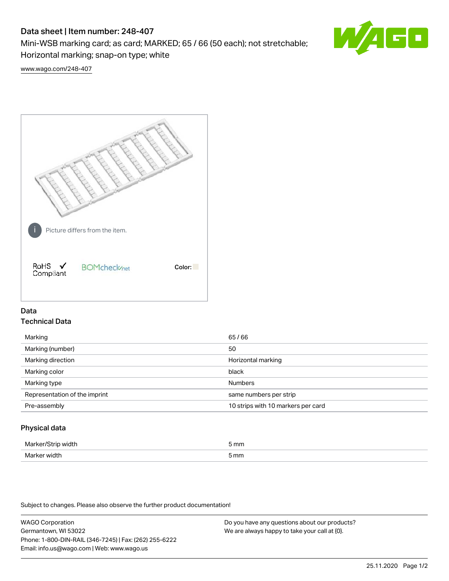# Data sheet | Item number: 248-407

Mini-WSB marking card; as card; MARKED; 65 / 66 (50 each); not stretchable; Horizontal marking; snap-on type; white



[www.wago.com/248-407](http://www.wago.com/248-407)



## Data Technical Data

| Marking                       | 65/66                              |
|-------------------------------|------------------------------------|
| Marking (number)              | 50                                 |
| Marking direction             | Horizontal marking                 |
| Marking color                 | black                              |
| Marking type                  | <b>Numbers</b>                     |
| Representation of the imprint | same numbers per strip             |
| Pre-assembly                  | 10 strips with 10 markers per card |
|                               |                                    |

## Physical data

| Mar                      | 5 mm |
|--------------------------|------|
| M <sub>cr</sub><br>width | 5 mm |

Subject to changes. Please also observe the further product documentation!

WAGO Corporation Germantown, WI 53022 Phone: 1-800-DIN-RAIL (346-7245) | Fax: (262) 255-6222 Email: info.us@wago.com | Web: www.wago.us Do you have any questions about our products? We are always happy to take your call at {0}.